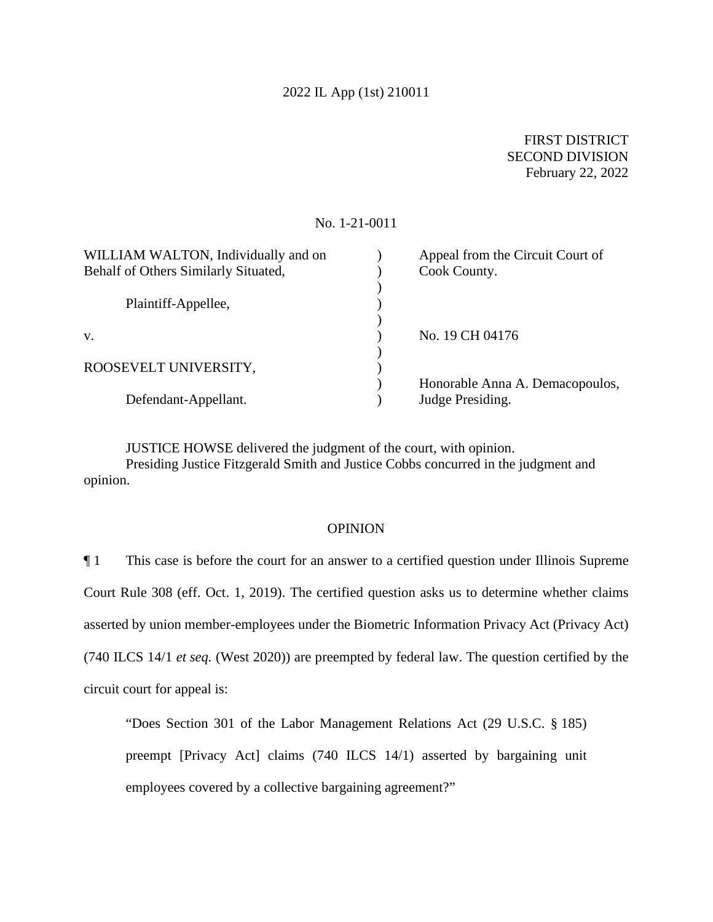#### 2022 IL App (1st) 210011

## FIRST DISTRICT SECOND DIVISION February 22, 2022

#### No. 1-21-0011

| WILLIAM WALTON, Individually and on  | Appeal from the Circuit Court of |
|--------------------------------------|----------------------------------|
| Behalf of Others Similarly Situated, | Cook County.                     |
|                                      |                                  |
| Plaintiff-Appellee,                  |                                  |
|                                      |                                  |
| V.                                   | No. 19 CH 04176                  |
|                                      |                                  |
| ROOSEVELT UNIVERSITY,                |                                  |
|                                      | Honorable Anna A. Demacopoulos,  |
| Defendant-Appellant.                 | Judge Presiding.                 |
|                                      |                                  |

JUSTICE HOWSE delivered the judgment of the court, with opinion.

Presiding Justice Fitzgerald Smith and Justice Cobbs concurred in the judgment and opinion.

### **OPINION**

 Court Rule 308 (eff. Oct. 1, 2019). The certified question asks us to determine whether claims ¶ 1 This case is before the court for an answer to a certified question under Illinois Supreme asserted by union member-employees under the Biometric Information Privacy Act (Privacy Act) (740 ILCS 14/1 *et seq.* (West 2020)) are preempted by federal law. The question certified by the circuit court for appeal is:

 preempt [Privacy Act] claims (740 ILCS 14/1) asserted by bargaining unit "Does Section 301 of the Labor Management Relations Act (29 U.S.C. § 185) employees covered by a collective bargaining agreement?"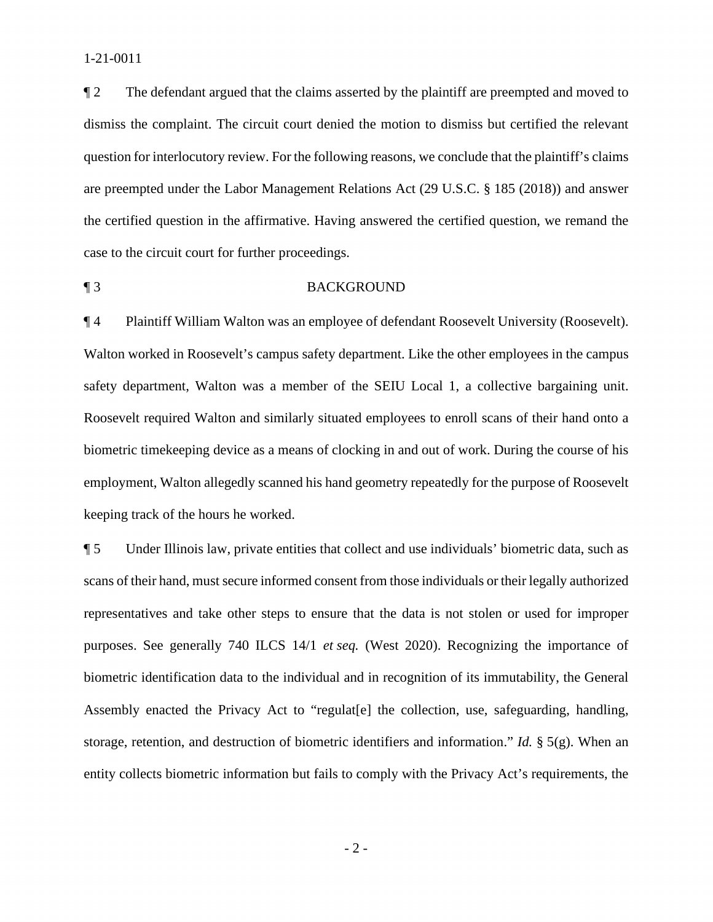dismiss the complaint. The circuit court denied the motion to dismiss but certified the relevant question for interlocutory review. For the following reasons, we conclude that the plaintiff's claims ¶ 2 The defendant argued that the claims asserted by the plaintiff are preempted and moved to are preempted under the Labor Management Relations Act (29 U.S.C. § 185 (2018)) and answer the certified question in the affirmative. Having answered the certified question, we remand the case to the circuit court for further proceedings.

### ¶ 3 BACKGROUND

 safety department, Walton was a member of the SEIU Local 1, a collective bargaining unit. ¶ 4 Plaintiff William Walton was an employee of defendant Roosevelt University (Roosevelt). Walton worked in Roosevelt's campus safety department. Like the other employees in the campus Roosevelt required Walton and similarly situated employees to enroll scans of their hand onto a biometric timekeeping device as a means of clocking in and out of work. During the course of his employment, Walton allegedly scanned his hand geometry repeatedly for the purpose of Roosevelt keeping track of the hours he worked.

 scans of their hand, must secure informed consent from those individuals or their legally authorized storage, retention, and destruction of biometric identifiers and information." *Id.* § 5(g). When an ¶ 5 Under Illinois law, private entities that collect and use individuals' biometric data, such as representatives and take other steps to ensure that the data is not stolen or used for improper purposes. See generally 740 ILCS 14/1 *et seq.* (West 2020). Recognizing the importance of biometric identification data to the individual and in recognition of its immutability, the General Assembly enacted the Privacy Act to "regulat[e] the collection, use, safeguarding, handling, entity collects biometric information but fails to comply with the Privacy Act's requirements, the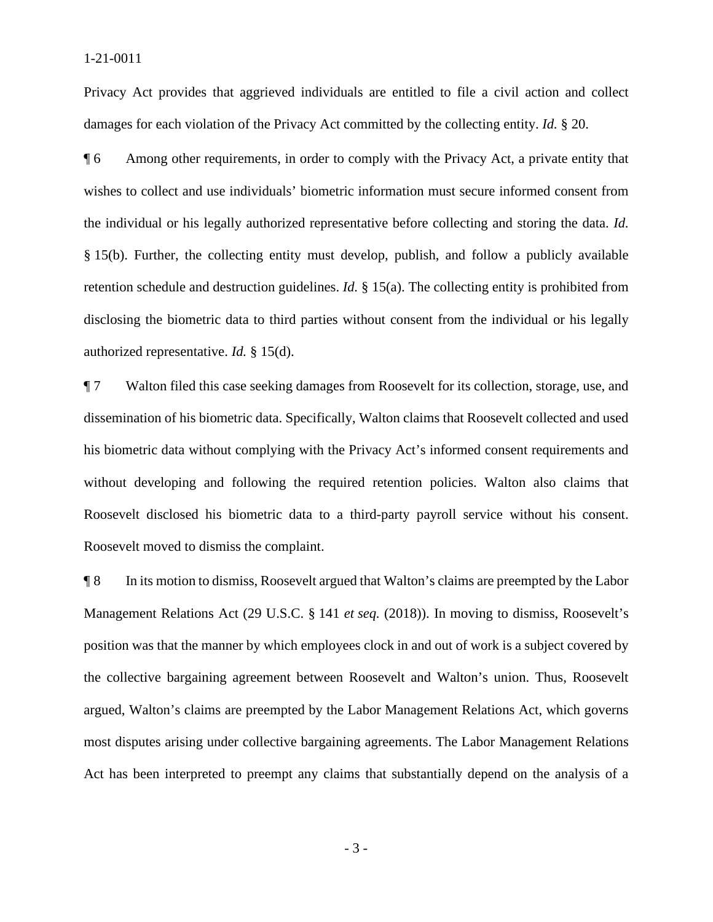Privacy Act provides that aggrieved individuals are entitled to file a civil action and collect damages for each violation of the Privacy Act committed by the collecting entity. *Id.* § 20.

 ¶ 6 Among other requirements, in order to comply with the Privacy Act, a private entity that wishes to collect and use individuals' biometric information must secure informed consent from the individual or his legally authorized representative before collecting and storing the data. *Id.*  § 15(b). Further, the collecting entity must develop, publish, and follow a publicly available disclosing the biometric data to third parties without consent from the individual or his legally retention schedule and destruction guidelines. *Id.* § 15(a). The collecting entity is prohibited from authorized representative. *Id.* § 15(d).

¶ 7 Walton filed this case seeking damages from Roosevelt for its collection, storage, use, and dissemination of his biometric data. Specifically, Walton claims that Roosevelt collected and used his biometric data without complying with the Privacy Act's informed consent requirements and without developing and following the required retention policies. Walton also claims that Roosevelt disclosed his biometric data to a third-party payroll service without his consent. Roosevelt moved to dismiss the complaint.

 argued, Walton's claims are preempted by the Labor Management Relations Act, which governs Act has been interpreted to preempt any claims that substantially depend on the analysis of a ¶ 8 In its motion to dismiss, Roosevelt argued that Walton's claims are preempted by the Labor Management Relations Act (29 U.S.C. § 141 *et seq.* (2018)). In moving to dismiss, Roosevelt's position was that the manner by which employees clock in and out of work is a subject covered by the collective bargaining agreement between Roosevelt and Walton's union. Thus, Roosevelt most disputes arising under collective bargaining agreements. The Labor Management Relations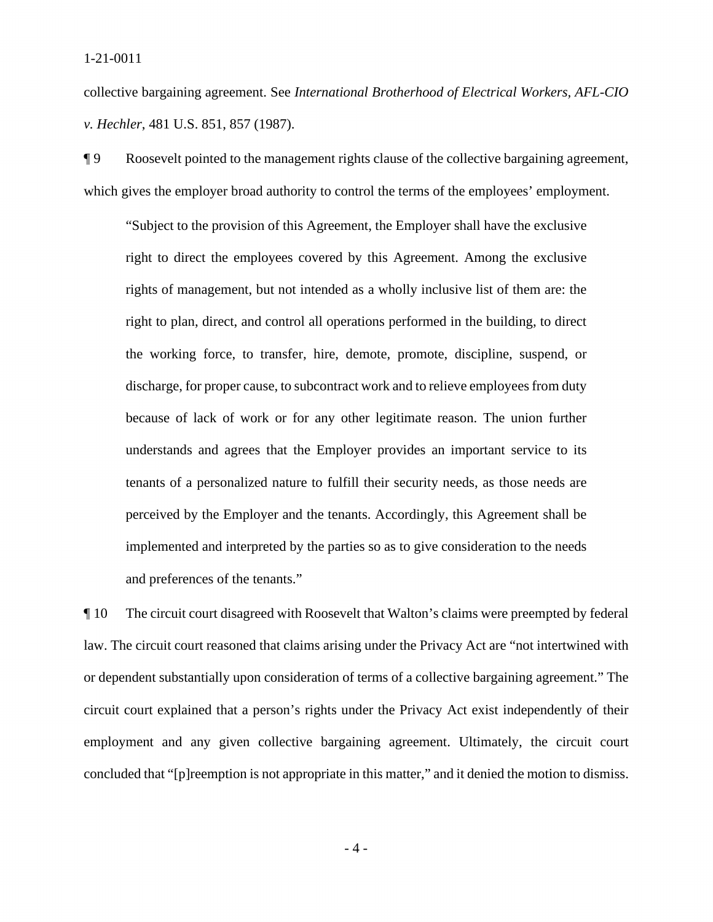#### 1-21-0011

collective bargaining agreement. See *International Brotherhood of Electrical Workers, AFL-CIO v. Hechler*, 481 U.S. 851, 857 (1987).

¶ 9 Roosevelt pointed to the management rights clause of the collective bargaining agreement, which gives the employer broad authority to control the terms of the employees' employment.

"Subject to the provision of this Agreement, the Employer shall have the exclusive right to direct the employees covered by this Agreement. Among the exclusive rights of management, but not intended as a wholly inclusive list of them are: the right to plan, direct, and control all operations performed in the building, to direct the working force, to transfer, hire, demote, promote, discipline, suspend, or discharge, for proper cause, to subcontract work and to relieve employees from duty because of lack of work or for any other legitimate reason. The union further understands and agrees that the Employer provides an important service to its tenants of a personalized nature to fulfill their security needs, as those needs are perceived by the Employer and the tenants. Accordingly, this Agreement shall be implemented and interpreted by the parties so as to give consideration to the needs and preferences of the tenants."

 circuit court explained that a person's rights under the Privacy Act exist independently of their concluded that "[p]reemption is not appropriate in this matter," and it denied the motion to dismiss.<br>- 4 -¶ 10 The circuit court disagreed with Roosevelt that Walton's claims were preempted by federal law. The circuit court reasoned that claims arising under the Privacy Act are "not intertwined with or dependent substantially upon consideration of terms of a collective bargaining agreement." The employment and any given collective bargaining agreement. Ultimately, the circuit court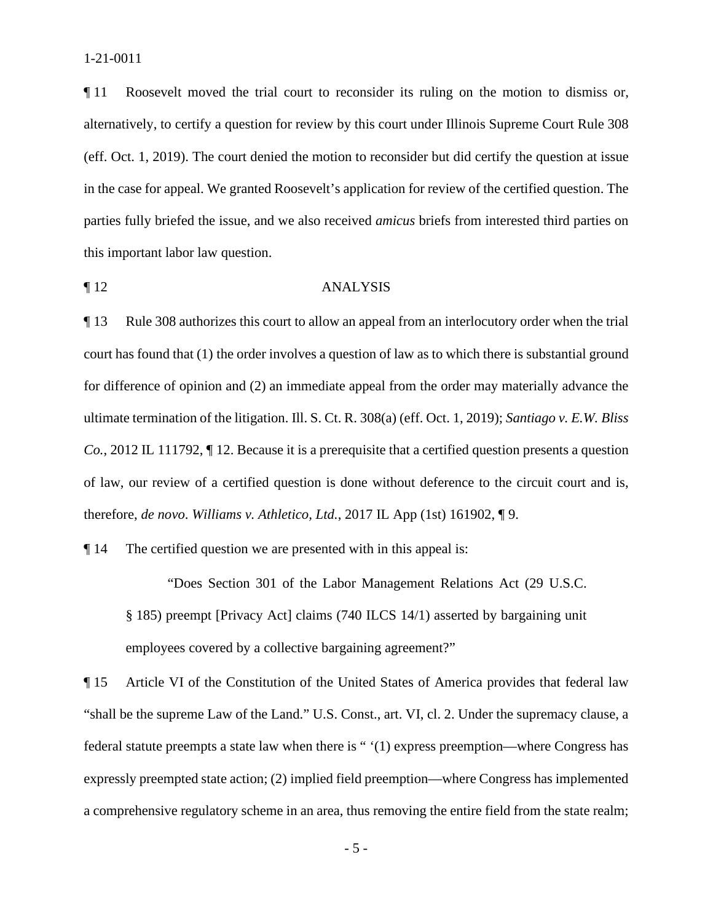alternatively, to certify a question for review by this court under Illinois Supreme Court Rule 308 parties fully briefed the issue, and we also received *amicus* briefs from interested third parties on ¶ 11 Roosevelt moved the trial court to reconsider its ruling on the motion to dismiss or, (eff. Oct. 1, 2019). The court denied the motion to reconsider but did certify the question at issue in the case for appeal. We granted Roosevelt's application for review of the certified question. The this important labor law question.

#### ¶ 12 ANALYSIS

 court has found that (1) the order involves a question of law as to which there is substantial ground for difference of opinion and (2) an immediate appeal from the order may materially advance the ¶ 13 Rule 308 authorizes this court to allow an appeal from an interlocutory order when the trial ultimate termination of the litigation. Ill. S. Ct. R. 308(a) (eff. Oct. 1, 2019); *Santiago v. E.W. Bliss Co.*, 2012 IL 111792, ¶ 12. Because it is a prerequisite that a certified question presents a question of law, our review of a certified question is done without deference to the circuit court and is, therefore, *de novo*. *Williams v. Athletico, Ltd.*, 2017 IL App (1st) 161902, ¶ 9.

¶ 14 The certified question we are presented with in this appeal is:

"Does Section 301 of the Labor Management Relations Act (29 U.S.C. § 185) preempt [Privacy Act] claims (740 ILCS 14/1) asserted by bargaining unit employees covered by a collective bargaining agreement?"

 federal statute preempts a state law when there is " '(1) express preemption—where Congress has expressly preempted state action; (2) implied field preemption—where Congress has implemented ¶ 15 Article VI of the Constitution of the United States of America provides that federal law "shall be the supreme Law of the Land." U.S. Const., art. VI, cl. 2. Under the supremacy clause, a a comprehensive regulatory scheme in an area, thus removing the entire field from the state realm;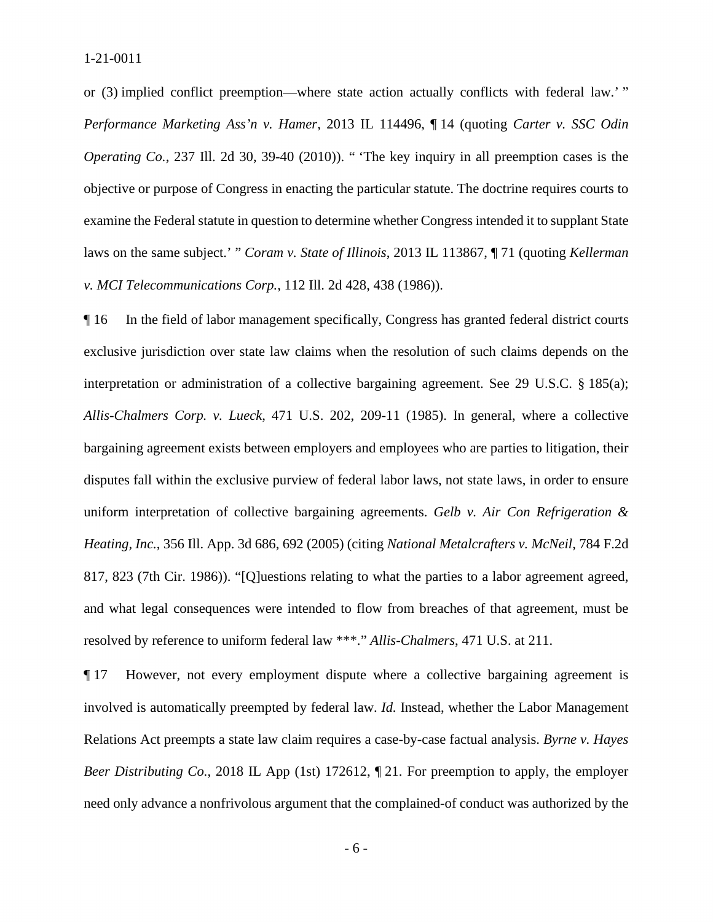or (3) implied conflict preemption—where state action actually conflicts with federal law.' "  *Performance Marketing Ass'n v. Hamer*, 2013 IL 114496, ¶ 14 (quoting *Carter v. SSC Odin*  examine the Federal statute in question to determine whether Congress intended it to supplant State *Operating Co.*, 237 Ill. 2d 30, 39-40 (2010)). " 'The key inquiry in all preemption cases is the objective or purpose of Congress in enacting the particular statute. The doctrine requires courts to laws on the same subject.' " *Coram v. State of Illinois*, 2013 IL 113867, ¶ 71 (quoting *Kellerman v. MCI Telecommunications Corp.*, 112 Ill. 2d 428, 438 (1986)).

¶ 16 In the field of labor management specifically, Congress has granted federal district courts exclusive jurisdiction over state law claims when the resolution of such claims depends on the interpretation or administration of a collective bargaining agreement. See 29 U.S.C. § 185(a); *Allis-Chalmers Corp. v. Lueck*, 471 U.S. 202, 209-11 (1985). In general, where a collective bargaining agreement exists between employers and employees who are parties to litigation, their disputes fall within the exclusive purview of federal labor laws, not state laws, in order to ensure uniform interpretation of collective bargaining agreements. *Gelb v. Air Con Refrigeration & Heating, Inc.*, 356 Ill. App. 3d 686, 692 (2005) (citing *National Metalcrafters v. McNeil*, 784 F.2d 817, 823 (7th Cir. 1986)). "[Q]uestions relating to what the parties to a labor agreement agreed, and what legal consequences were intended to flow from breaches of that agreement, must be resolved by reference to uniform federal law \*\*\*." *Allis-Chalmers*, 471 U.S. at 211.

 involved is automatically preempted by federal law. *Id.* Instead, whether the Labor Management ¶ 17 However, not every employment dispute where a collective bargaining agreement is Relations Act preempts a state law claim requires a case-by-case factual analysis. *Byrne v. Hayes Beer Distributing Co.*, 2018 IL App (1st) 172612, ¶ 21. For preemption to apply, the employer need only advance a nonfrivolous argument that the complained-of conduct was authorized by the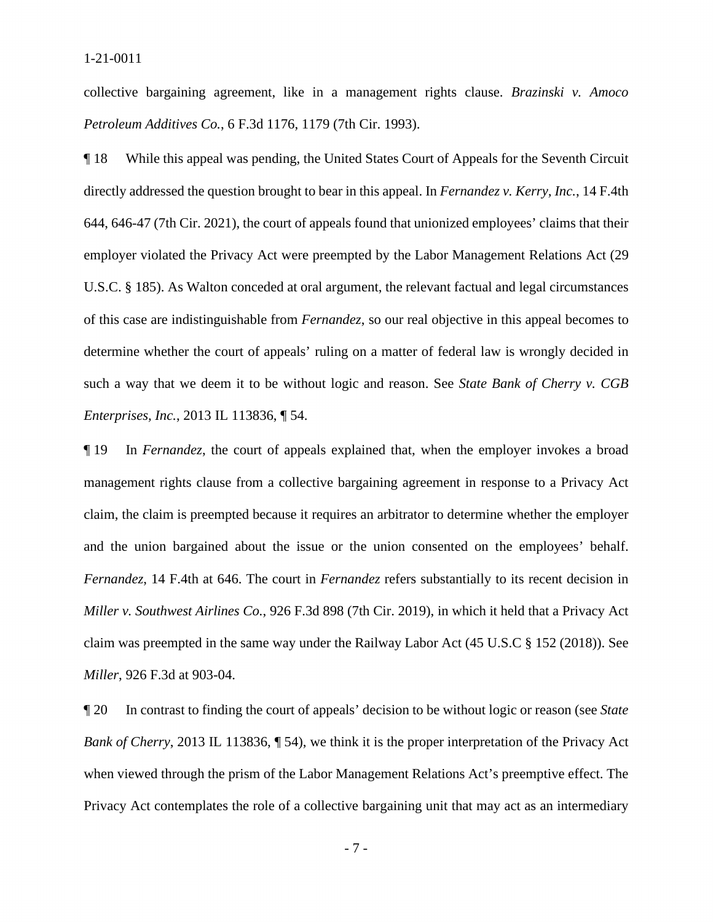collective bargaining agreement, like in a management rights clause. *Brazinski v. Amoco Petroleum Additives Co.*, 6 F.3d 1176, 1179 (7th Cir. 1993).

¶ 18 While this appeal was pending, the United States Court of Appeals for the Seventh Circuit directly addressed the question brought to bear in this appeal. In *Fernandez v. Kerry, Inc.*, 14 F.4th 644, 646-47 (7th Cir. 2021), the court of appeals found that unionized employees' claims that their employer violated the Privacy Act were preempted by the Labor Management Relations Act (29 U.S.C. § 185). As Walton conceded at oral argument, the relevant factual and legal circumstances of this case are indistinguishable from *Fernandez*, so our real objective in this appeal becomes to determine whether the court of appeals' ruling on a matter of federal law is wrongly decided in such a way that we deem it to be without logic and reason. See *State Bank of Cherry v. CGB Enterprises, Inc.*, 2013 IL 113836, ¶ 54.

¶ 19 In *Fernandez*, the court of appeals explained that, when the employer invokes a broad management rights clause from a collective bargaining agreement in response to a Privacy Act claim, the claim is preempted because it requires an arbitrator to determine whether the employer and the union bargained about the issue or the union consented on the employees' behalf. *Fernandez*, 14 F.4th at 646. The court in *Fernandez* refers substantially to its recent decision in *Miller v. Southwest Airlines Co.*, 926 F.3d 898 (7th Cir. 2019), in which it held that a Privacy Act claim was preempted in the same way under the Railway Labor Act (45 U.S.C § 152 (2018)). See *Miller*, 926 F.3d at 903-04.

 ¶ 20 In contrast to finding the court of appeals' decision to be without logic or reason (see *State Bank of Cherry*, 2013 IL 113836, ¶ 54), we think it is the proper interpretation of the Privacy Act when viewed through the prism of the Labor Management Relations Act's preemptive effect. The Privacy Act contemplates the role of a collective bargaining unit that may act as an intermediary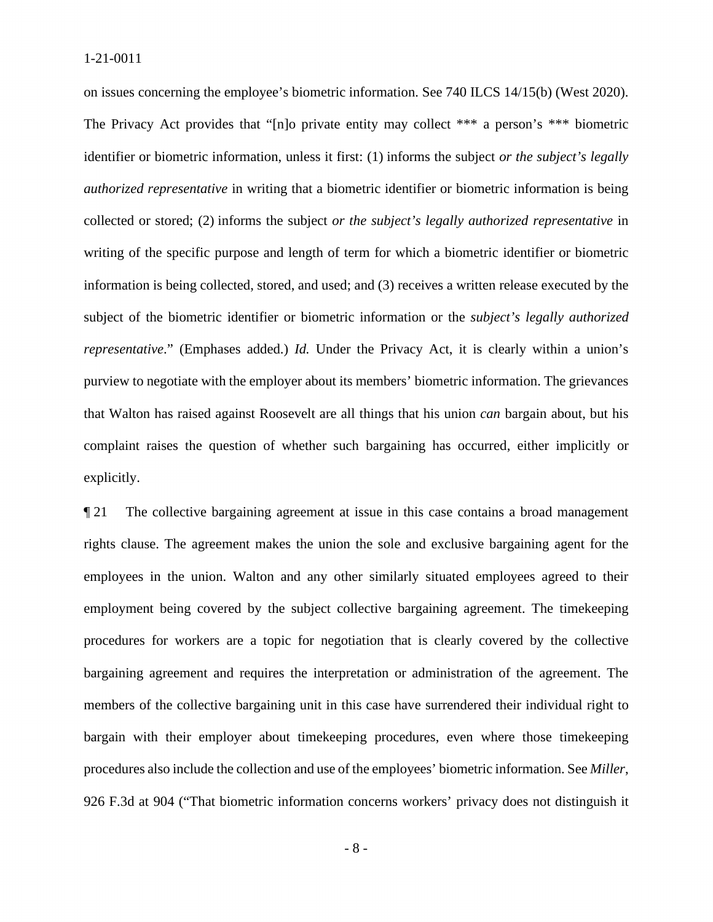identifier or biometric information, unless it first: (1) informs the subject *or the subject's legally*  collected or stored; (2) informs the subject *or the subject's legally authorized representative* in that Walton has raised against Roosevelt are all things that his union *can* bargain about, but his explicitly. on issues concerning the employee's biometric information. See 740 ILCS 14/15(b) (West 2020). The Privacy Act provides that "[n]o private entity may collect \*\*\* a person's \*\*\* biometric *authorized representative* in writing that a biometric identifier or biometric information is being writing of the specific purpose and length of term for which a biometric identifier or biometric information is being collected, stored, and used; and (3) receives a written release executed by the subject of the biometric identifier or biometric information or the *subject's legally authorized representative.*" (Emphases added.) *Id.* Under the Privacy Act, it is clearly within a union's purview to negotiate with the employer about its members' biometric information. The grievances complaint raises the question of whether such bargaining has occurred, either implicitly or

 rights clause. The agreement makes the union the sole and exclusive bargaining agent for the procedures for workers are a topic for negotiation that is clearly covered by the collective bargaining agreement and requires the interpretation or administration of the agreement. The procedures also include the collection and use of the employees' biometric information. See *Miller*,  $\llbracket 21$  The collective bargaining agreement at issue in this case contains a broad management employees in the union. Walton and any other similarly situated employees agreed to their employment being covered by the subject collective bargaining agreement. The timekeeping members of the collective bargaining unit in this case have surrendered their individual right to bargain with their employer about timekeeping procedures, even where those timekeeping 926 F.3d at 904 ("That biometric information concerns workers' privacy does not distinguish it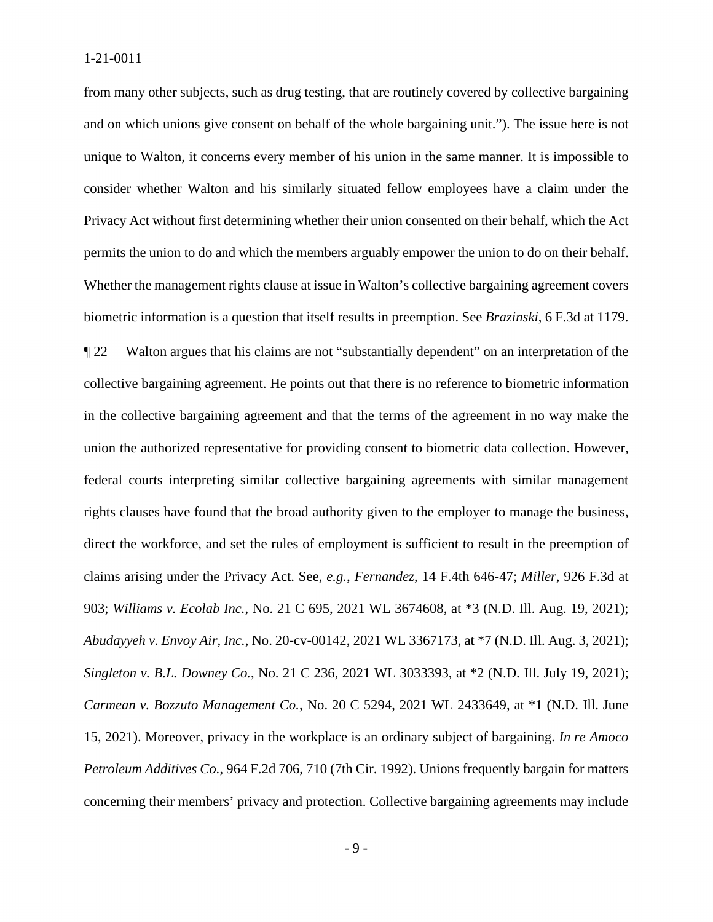biometric information is a question that itself results in preemption. See *Brazinski*, 6 F.3d at 1179. from many other subjects, such as drug testing, that are routinely covered by collective bargaining and on which unions give consent on behalf of the whole bargaining unit."). The issue here is not unique to Walton, it concerns every member of his union in the same manner. It is impossible to consider whether Walton and his similarly situated fellow employees have a claim under the Privacy Act without first determining whether their union consented on their behalf, which the Act permits the union to do and which the members arguably empower the union to do on their behalf. Whether the management rights clause at issue in Walton's collective bargaining agreement covers

 *Carmean v. Bozzuto Management Co.*, No. 20 C 5294, 2021 WL 2433649, at \*1 (N.D. Ill. June  15, 2021). Moreover, privacy in the workplace is an ordinary subject of bargaining. *In re Amoco*  ¶ 22 Walton argues that his claims are not "substantially dependent" on an interpretation of the collective bargaining agreement. He points out that there is no reference to biometric information in the collective bargaining agreement and that the terms of the agreement in no way make the union the authorized representative for providing consent to biometric data collection. However, federal courts interpreting similar collective bargaining agreements with similar management rights clauses have found that the broad authority given to the employer to manage the business, direct the workforce, and set the rules of employment is sufficient to result in the preemption of claims arising under the Privacy Act. See, *e.g.*, *Fernandez*, 14 F.4th 646-47; *Miller*, 926 F.3d at 903; *Williams v. Ecolab Inc.*, No. 21 C 695, 2021 WL 3674608, at \*3 (N.D. Ill. Aug. 19, 2021); *Abudayyeh v. Envoy Air, Inc.*, No. 20-cv-00142, 2021 WL 3367173, at \*7 (N.D. Ill. Aug. 3, 2021); *Singleton v. B.L. Downey Co.*, No. 21 C 236, 2021 WL 3033393, at \*2 (N.D. Ill. July 19, 2021); *Petroleum Additives Co.*, 964 F.2d 706, 710 (7th Cir. 1992). Unions frequently bargain for matters concerning their members' privacy and protection. Collective bargaining agreements may include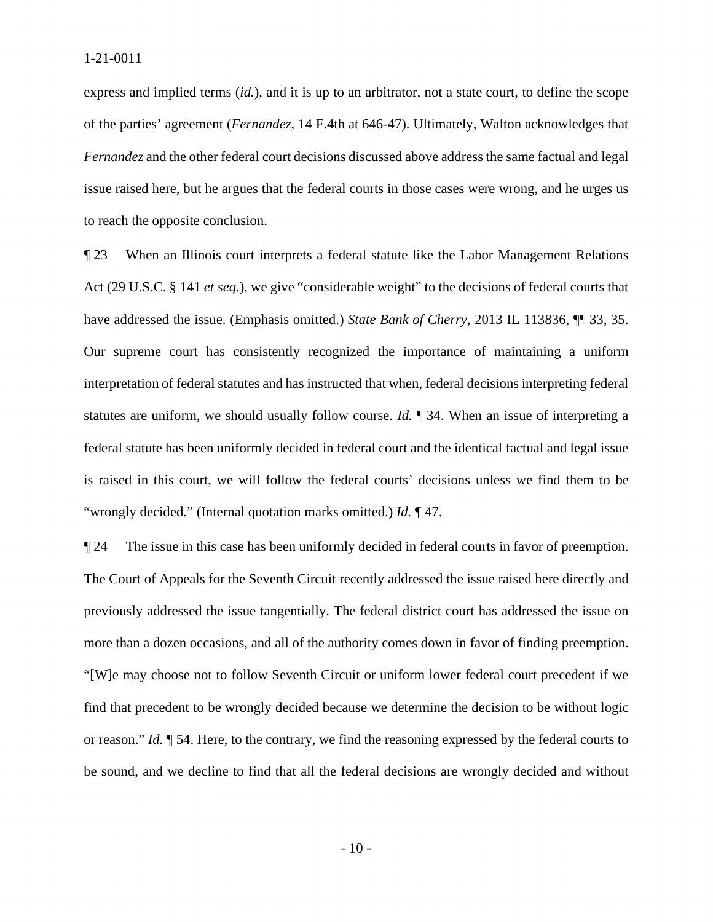*Fernandez* and the other federal court decisions discussed above address the same factual and legal issue raised here, but he argues that the federal courts in those cases were wrong, and he urges us express and implied terms (*id.*), and it is up to an arbitrator, not a state court, to define the scope of the parties' agreement (*Fernandez*, 14 F.4th at 646-47). Ultimately, Walton acknowledges that to reach the opposite conclusion.

**The 23** When an Illinois court interprets a federal statute like the Labor Management Relations federal statute has been uniformly decided in federal court and the identical factual and legal issue "wrongly decided." (Internal quotation marks omitted.) *Id.* ¶ 47. Act (29 U.S.C. § 141 *et seq.*), we give "considerable weight" to the decisions of federal courts that have addressed the issue. (Emphasis omitted.) *State Bank of Cherry*, 2013 IL 113836, ¶¶ 33, 35. Our supreme court has consistently recognized the importance of maintaining a uniform interpretation of federal statutes and has instructed that when, federal decisions interpreting federal statutes are uniform, we should usually follow course. *Id.* ¶ 34. When an issue of interpreting a is raised in this court, we will follow the federal courts' decisions unless we find them to be

 "[W]e may choose not to follow Seventh Circuit or uniform lower federal court precedent if we ¶ 24 The issue in this case has been uniformly decided in federal courts in favor of preemption. The Court of Appeals for the Seventh Circuit recently addressed the issue raised here directly and previously addressed the issue tangentially. The federal district court has addressed the issue on more than a dozen occasions, and all of the authority comes down in favor of finding preemption. find that precedent to be wrongly decided because we determine the decision to be without logic or reason." *Id.* ¶ 54. Here, to the contrary, we find the reasoning expressed by the federal courts to be sound, and we decline to find that all the federal decisions are wrongly decided and without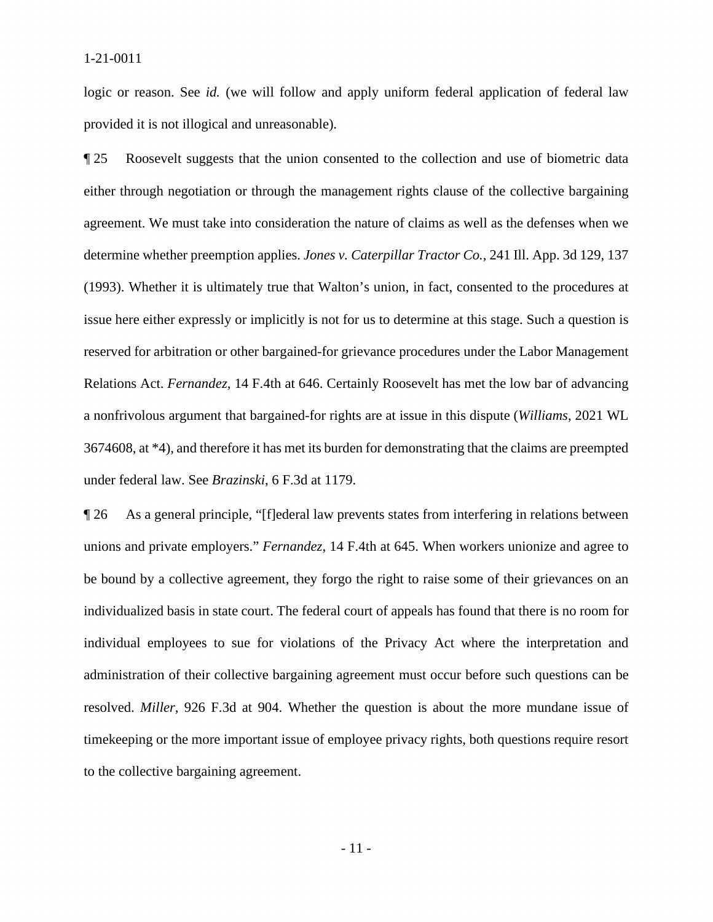logic or reason. See *id.* (we will follow and apply uniform federal application of federal law provided it is not illogical and unreasonable).

**The 25** Roosevelt suggests that the union consented to the collection and use of biometric data (1993). Whether it is ultimately true that Walton's union, in fact, consented to the procedures at issue here either expressly or implicitly is not for us to determine at this stage. Such a question is a nonfrivolous argument that bargained-for rights are at issue in this dispute (*Williams*, 2021 WL either through negotiation or through the management rights clause of the collective bargaining agreement. We must take into consideration the nature of claims as well as the defenses when we determine whether preemption applies. *Jones v. Caterpillar Tractor Co.*, 241 Ill. App. 3d 129, 137 reserved for arbitration or other bargained-for grievance procedures under the Labor Management Relations Act. *Fernandez*, 14 F.4th at 646. Certainly Roosevelt has met the low bar of advancing 3674608, at \*4), and therefore it has met its burden for demonstrating that the claims are preempted under federal law. See *Brazinski*, 6 F.3d at 1179.

 administration of their collective bargaining agreement must occur before such questions can be ¶ 26 As a general principle, "[f]ederal law prevents states from interfering in relations between unions and private employers." *Fernandez*, 14 F.4th at 645. When workers unionize and agree to be bound by a collective agreement, they forgo the right to raise some of their grievances on an individualized basis in state court. The federal court of appeals has found that there is no room for individual employees to sue for violations of the Privacy Act where the interpretation and resolved. *Miller*, 926 F.3d at 904. Whether the question is about the more mundane issue of timekeeping or the more important issue of employee privacy rights, both questions require resort to the collective bargaining agreement.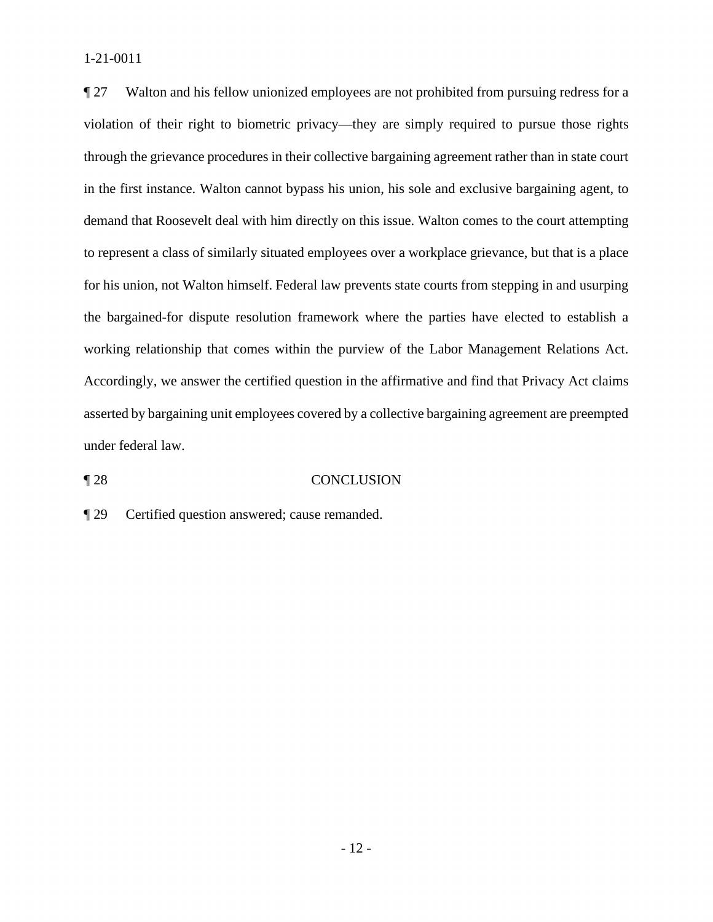**Texture 27** Walton and his fellow unionized employees are not prohibited from pursuing redress for a through the grievance procedures in their collective bargaining agreement rather than in state court under federal law. violation of their right to biometric privacy—they are simply required to pursue those rights in the first instance. Walton cannot bypass his union, his sole and exclusive bargaining agent, to demand that Roosevelt deal with him directly on this issue. Walton comes to the court attempting to represent a class of similarly situated employees over a workplace grievance, but that is a place for his union, not Walton himself. Federal law prevents state courts from stepping in and usurping the bargained-for dispute resolution framework where the parties have elected to establish a working relationship that comes within the purview of the Labor Management Relations Act. Accordingly, we answer the certified question in the affirmative and find that Privacy Act claims asserted by bargaining unit employees covered by a collective bargaining agreement are preempted

# under federal law.<br>
¶ 28 CONCLUSION

¶ 29 Certified question answered; cause remanded.